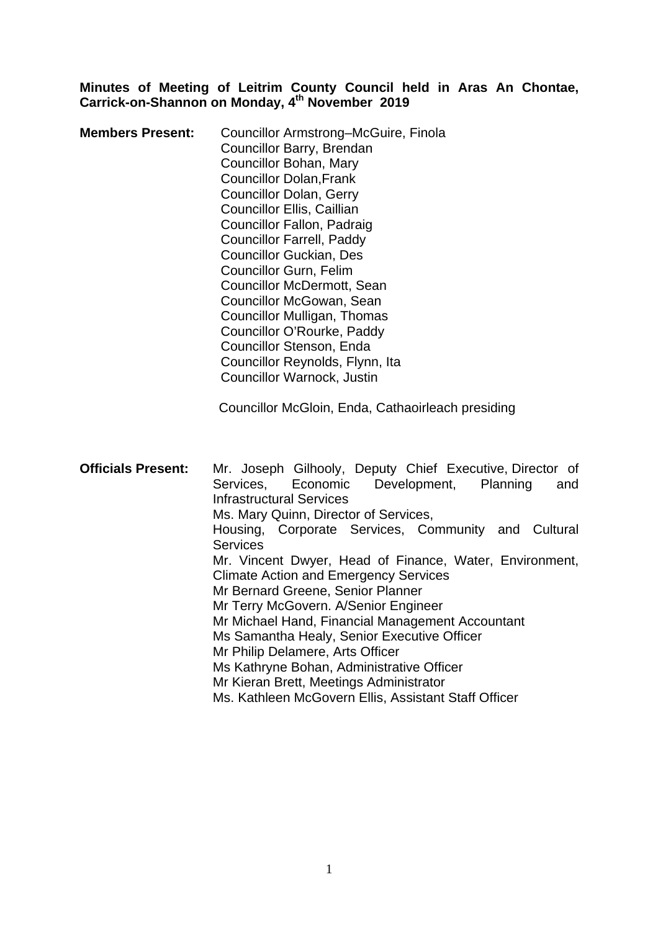#### **Minutes of Meeting of Leitrim County Council held in Aras An Chontae, Carrick-on-Shannon on Monday, 4th November 2019**

| <b>Members Present:</b> | Councillor Armstrong-McGuire, Finola<br>Councillor Barry, Brendan<br>Councillor Bohan, Mary<br><b>Councillor Dolan, Frank</b><br><b>Councillor Dolan, Gerry</b><br><b>Councillor Ellis, Caillian</b><br>Councillor Fallon, Padraig<br><b>Councillor Farrell, Paddy</b><br><b>Councillor Guckian, Des</b><br><b>Councillor Gurn, Felim</b><br>Councillor McDermott, Sean<br>Councillor McGowan, Sean<br>Councillor Mulligan, Thomas<br>Councillor O'Rourke, Paddy |
|-------------------------|------------------------------------------------------------------------------------------------------------------------------------------------------------------------------------------------------------------------------------------------------------------------------------------------------------------------------------------------------------------------------------------------------------------------------------------------------------------|
|                         | Councillor Stenson, Enda<br>Councillor Reynolds, Flynn, Ita<br>Councillor Warnock, Justin                                                                                                                                                                                                                                                                                                                                                                        |

Councillor McGloin, Enda, Cathaoirleach presiding

| <b>Officials Present:</b> | Mr. Joseph Gilhooly, Deputy Chief Executive, Director of |
|---------------------------|----------------------------------------------------------|
|                           | Services, Economic Development, Planning<br>and          |
|                           | <b>Infrastructural Services</b>                          |
|                           | Ms. Mary Quinn, Director of Services,                    |
|                           | Housing, Corporate Services, Community and Cultural      |
|                           | <b>Services</b>                                          |
|                           | Mr. Vincent Dwyer, Head of Finance, Water, Environment,  |
|                           | <b>Climate Action and Emergency Services</b>             |
|                           | Mr Bernard Greene, Senior Planner                        |
|                           | Mr Terry McGovern. A/Senior Engineer                     |
|                           | Mr Michael Hand, Financial Management Accountant         |
|                           | Ms Samantha Healy, Senior Executive Officer              |
|                           | Mr Philip Delamere, Arts Officer                         |
|                           | Ms Kathryne Bohan, Administrative Officer                |
|                           | Mr Kieran Brett, Meetings Administrator                  |
|                           | Ms. Kathleen McGovern Ellis, Assistant Staff Officer     |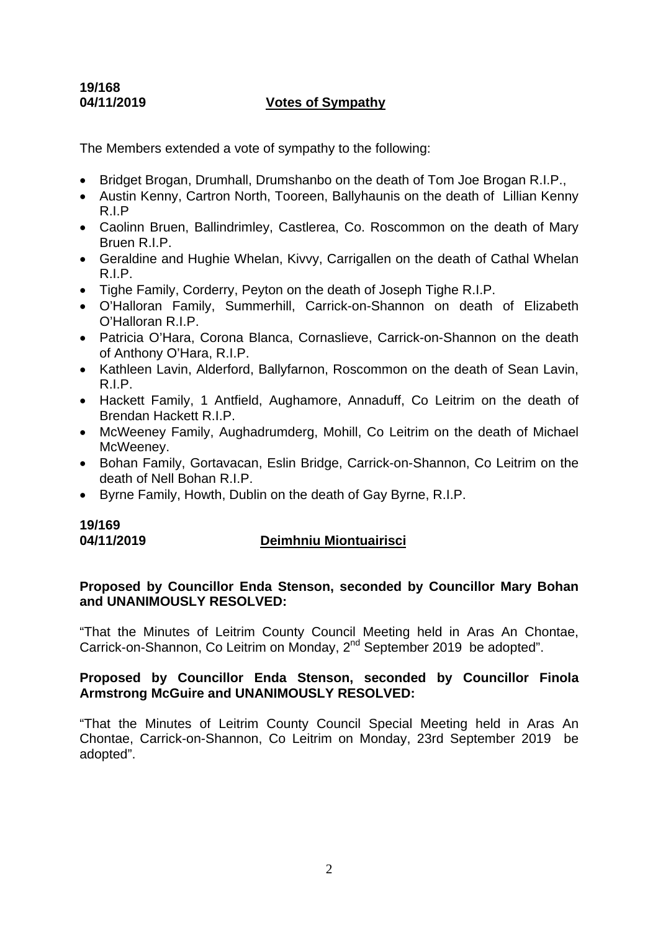# **19/168**

# **04/11/2019 Votes of Sympathy**

The Members extended a vote of sympathy to the following:

- Bridget Brogan, Drumhall, Drumshanbo on the death of Tom Joe Brogan R.I.P..
- Austin Kenny, Cartron North, Tooreen, Ballyhaunis on the death of Lillian Kenny R.I.P
- Caolinn Bruen, Ballindrimley, Castlerea, Co. Roscommon on the death of Mary Bruen R.I.P.
- Geraldine and Hughie Whelan, Kivvy, Carrigallen on the death of Cathal Whelan R.I.P.
- Tighe Family, Corderry, Peyton on the death of Joseph Tighe R.I.P.
- O'Halloran Family, Summerhill, Carrick-on-Shannon on death of Elizabeth O'Halloran R.I.P.
- Patricia O'Hara, Corona Blanca, Cornaslieve, Carrick-on-Shannon on the death of Anthony O'Hara, R.I.P.
- Kathleen Lavin, Alderford, Ballyfarnon, Roscommon on the death of Sean Lavin, R.I.P.
- Hackett Family, 1 Antfield, Aughamore, Annaduff, Co Leitrim on the death of Brendan Hackett R.I.P.
- McWeeney Family, Aughadrumderg, Mohill, Co Leitrim on the death of Michael McWeeney.
- Bohan Family, Gortavacan, Eslin Bridge, Carrick-on-Shannon, Co Leitrim on the death of Nell Bohan R.I.P.
- Byrne Family, Howth, Dublin on the death of Gay Byrne, R.I.P.

# **19/169**

# **04/11/2019 Deimhniu Miontuairisci**

# **Proposed by Councillor Enda Stenson, seconded by Councillor Mary Bohan and UNANIMOUSLY RESOLVED:**

"That the Minutes of Leitrim County Council Meeting held in Aras An Chontae, Carrick-on-Shannon, Co Leitrim on Monday, 2<sup>nd</sup> September 2019 be adopted".

# **Proposed by Councillor Enda Stenson, seconded by Councillor Finola Armstrong McGuire and UNANIMOUSLY RESOLVED:**

"That the Minutes of Leitrim County Council Special Meeting held in Aras An Chontae, Carrick-on-Shannon, Co Leitrim on Monday, 23rd September 2019 be adopted".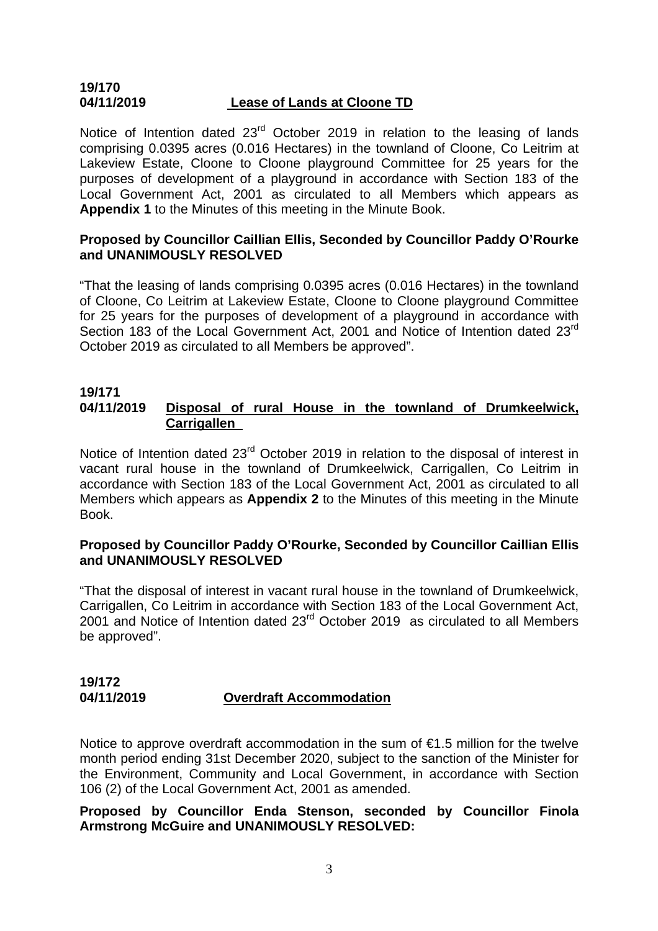### **19/170 04/11/2019 Lease of Lands at Cloone TD**

Notice of Intention dated 23<sup>rd</sup> October 2019 in relation to the leasing of lands comprising 0.0395 acres (0.016 Hectares) in the townland of Cloone, Co Leitrim at Lakeview Estate, Cloone to Cloone playground Committee for 25 years for the purposes of development of a playground in accordance with Section 183 of the Local Government Act, 2001 as circulated to all Members which appears as **Appendix 1** to the Minutes of this meeting in the Minute Book.

# **Proposed by Councillor Caillian Ellis, Seconded by Councillor Paddy O'Rourke and UNANIMOUSLY RESOLVED**

"That the leasing of lands comprising 0.0395 acres (0.016 Hectares) in the townland of Cloone, Co Leitrim at Lakeview Estate, Cloone to Cloone playground Committee for 25 years for the purposes of development of a playground in accordance with Section 183 of the Local Government Act, 2001 and Notice of Intention dated 23<sup>rd</sup> October 2019 as circulated to all Members be approved".

#### **19/171 04/11/2019 Disposal of rural House in the townland of Drumkeelwick, Carrigallen**

Notice of Intention dated 23<sup>rd</sup> October 2019 in relation to the disposal of interest in vacant rural house in the townland of Drumkeelwick, Carrigallen, Co Leitrim in accordance with Section 183 of the Local Government Act, 2001 as circulated to all Members which appears as **Appendix 2** to the Minutes of this meeting in the Minute Book.

# **Proposed by Councillor Paddy O'Rourke, Seconded by Councillor Caillian Ellis and UNANIMOUSLY RESOLVED**

"That the disposal of interest in vacant rural house in the townland of Drumkeelwick, Carrigallen, Co Leitrim in accordance with Section 183 of the Local Government Act, 2001 and Notice of Intention dated 23rd October 2019 as circulated to all Members be approved".

#### **19/172 04/11/2019 Overdraft Accommodation**

Notice to approve overdraft accommodation in the sum of €1.5 million for the twelve month period ending 31st December 2020, subject to the sanction of the Minister for the Environment, Community and Local Government, in accordance with Section 106 (2) of the Local Government Act, 2001 as amended.

# **Proposed by Councillor Enda Stenson, seconded by Councillor Finola Armstrong McGuire and UNANIMOUSLY RESOLVED:**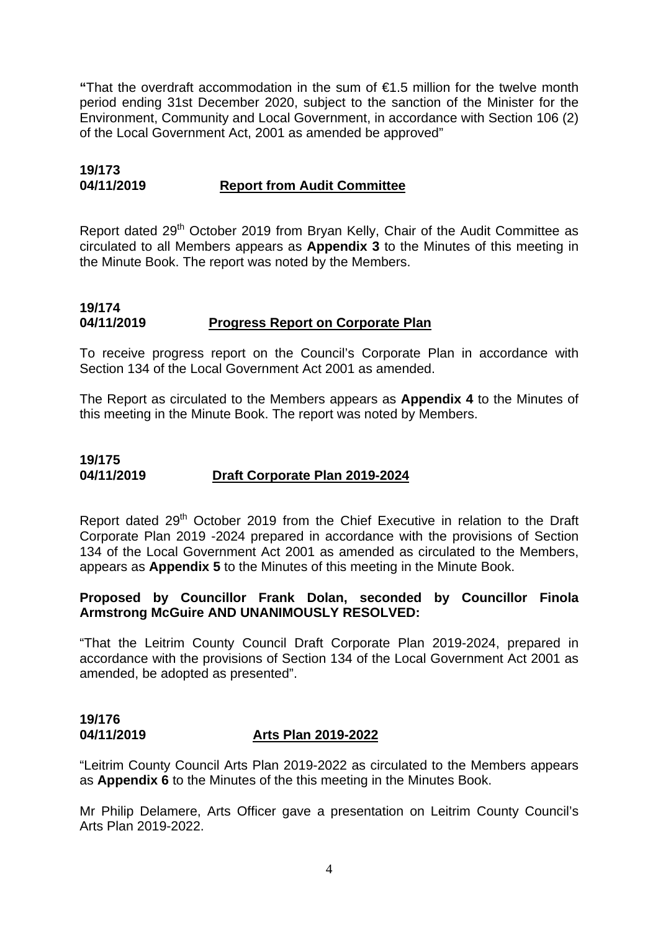**"**That the overdraft accommodation in the sum of €1.5 million for the twelve month period ending 31st December 2020, subject to the sanction of the Minister for the Environment, Community and Local Government, in accordance with Section 106 (2) of the Local Government Act, 2001 as amended be approved"

# **19/173 04/11/2019 Report from Audit Committee**

Report dated 29<sup>th</sup> October 2019 from Bryan Kelly, Chair of the Audit Committee as circulated to all Members appears as **Appendix 3** to the Minutes of this meeting in the Minute Book. The report was noted by the Members.

# **19/174 04/11/2019 Progress Report on Corporate Plan**

To receive progress report on the Council's Corporate Plan in accordance with Section 134 of the Local Government Act 2001 as amended.

The Report as circulated to the Members appears as **Appendix 4** to the Minutes of this meeting in the Minute Book. The report was noted by Members.

# **19/175 04/11/2019 Draft Corporate Plan 2019-2024**

Report dated 29<sup>th</sup> October 2019 from the Chief Executive in relation to the Draft Corporate Plan 2019 -2024 prepared in accordance with the provisions of Section 134 of the Local Government Act 2001 as amended as circulated to the Members, appears as **Appendix 5** to the Minutes of this meeting in the Minute Book.

# **Proposed by Councillor Frank Dolan, seconded by Councillor Finola Armstrong McGuire AND UNANIMOUSLY RESOLVED:**

"That the Leitrim County Council Draft Corporate Plan 2019-2024, prepared in accordance with the provisions of Section 134 of the Local Government Act 2001 as amended, be adopted as presented".

# **19/176 04/11/2019 Arts Plan 2019-2022**

"Leitrim County Council Arts Plan 2019-2022 as circulated to the Members appears as **Appendix 6** to the Minutes of the this meeting in the Minutes Book.

Mr Philip Delamere, Arts Officer gave a presentation on Leitrim County Council's Arts Plan 2019-2022.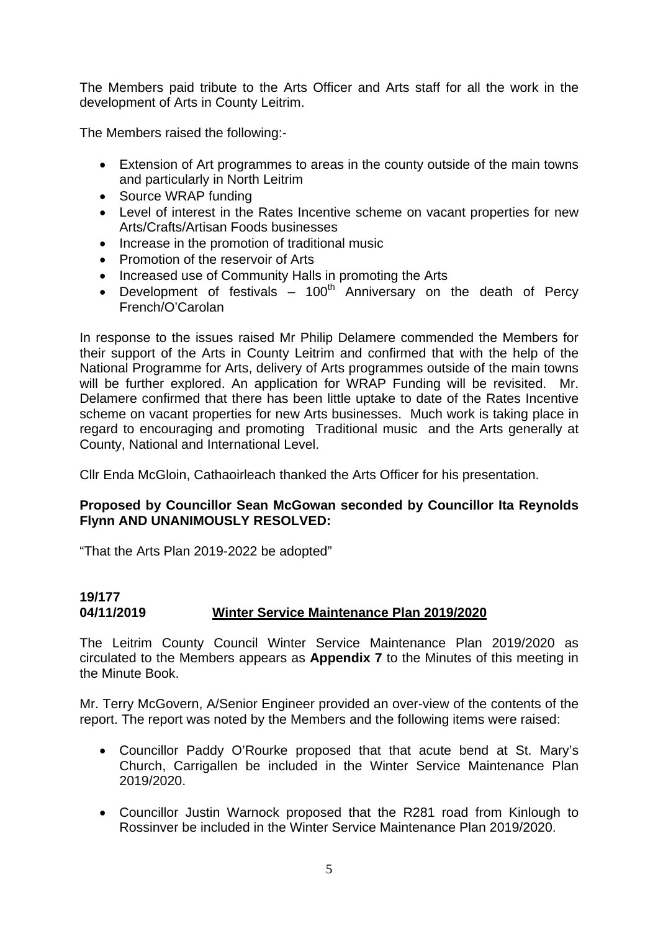The Members paid tribute to the Arts Officer and Arts staff for all the work in the development of Arts in County Leitrim.

The Members raised the following:-

- Extension of Art programmes to areas in the county outside of the main towns and particularly in North Leitrim
- Source WRAP funding
- Level of interest in the Rates Incentive scheme on vacant properties for new Arts/Crafts/Artisan Foods businesses
- Increase in the promotion of traditional music
- Promotion of the reservoir of Arts
- Increased use of Community Halls in promoting the Arts
- Development of festivals  $-$  100<sup>th</sup> Anniversary on the death of Percy French/O'Carolan

In response to the issues raised Mr Philip Delamere commended the Members for their support of the Arts in County Leitrim and confirmed that with the help of the National Programme for Arts, delivery of Arts programmes outside of the main towns will be further explored. An application for WRAP Funding will be revisited. Mr. Delamere confirmed that there has been little uptake to date of the Rates Incentive scheme on vacant properties for new Arts businesses. Much work is taking place in regard to encouraging and promoting Traditional music and the Arts generally at County, National and International Level.

Cllr Enda McGloin, Cathaoirleach thanked the Arts Officer for his presentation.

# **Proposed by Councillor Sean McGowan seconded by Councillor Ita Reynolds Flynn AND UNANIMOUSLY RESOLVED:**

"That the Arts Plan 2019-2022 be adopted"

# **19/177 04/11/2019 Winter Service Maintenance Plan 2019/2020**

The Leitrim County Council Winter Service Maintenance Plan 2019/2020 as circulated to the Members appears as **Appendix 7** to the Minutes of this meeting in the Minute Book.

Mr. Terry McGovern, A/Senior Engineer provided an over-view of the contents of the report. The report was noted by the Members and the following items were raised:

- Councillor Paddy O'Rourke proposed that that acute bend at St. Mary's Church, Carrigallen be included in the Winter Service Maintenance Plan 2019/2020.
- Councillor Justin Warnock proposed that the R281 road from Kinlough to Rossinver be included in the Winter Service Maintenance Plan 2019/2020.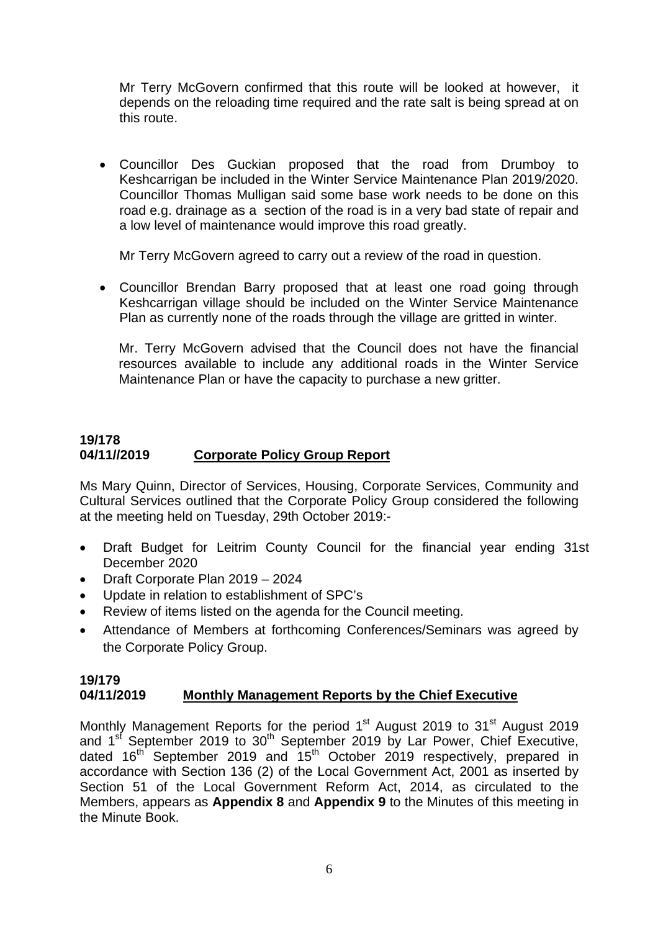Mr Terry McGovern confirmed that this route will be looked at however, it depends on the reloading time required and the rate salt is being spread at on this route.

• Councillor Des Guckian proposed that the road from Drumboy to Keshcarrigan be included in the Winter Service Maintenance Plan 2019/2020. Councillor Thomas Mulligan said some base work needs to be done on this road e.g. drainage as a section of the road is in a very bad state of repair and a low level of maintenance would improve this road greatly.

Mr Terry McGovern agreed to carry out a review of the road in question.

• Councillor Brendan Barry proposed that at least one road going through Keshcarrigan village should be included on the Winter Service Maintenance Plan as currently none of the roads through the village are gritted in winter.

Mr. Terry McGovern advised that the Council does not have the financial resources available to include any additional roads in the Winter Service Maintenance Plan or have the capacity to purchase a new gritter.

# **19/178 04/11//2019 Corporate Policy Group Report**

Ms Mary Quinn, Director of Services, Housing, Corporate Services, Community and Cultural Services outlined that the Corporate Policy Group considered the following at the meeting held on Tuesday, 29th October 2019:-

- Draft Budget for Leitrim County Council for the financial year ending 31st December 2020
- Draft Corporate Plan 2019 2024
- Update in relation to establishment of SPC's
- Review of items listed on the agenda for the Council meeting.
- Attendance of Members at forthcoming Conferences/Seminars was agreed by the Corporate Policy Group.

#### **19/179 04/11/2019 Monthly Management Reports by the Chief Executive**

Monthly Management Reports for the period 1<sup>st</sup> August 2019 to 31<sup>st</sup> August 2019 and  $1<sup>st</sup>$  September 2019 to  $30<sup>th</sup>$  September 2019 by Lar Power, Chief Executive, dated  $16<sup>th</sup>$  September 2019 and  $15<sup>th</sup>$  October 2019 respectively, prepared in accordance with Section 136 (2) of the Local Government Act, 2001 as inserted by Section 51 of the Local Government Reform Act, 2014, as circulated to the Members, appears as **Appendix 8** and **Appendix 9** to the Minutes of this meeting in the Minute Book.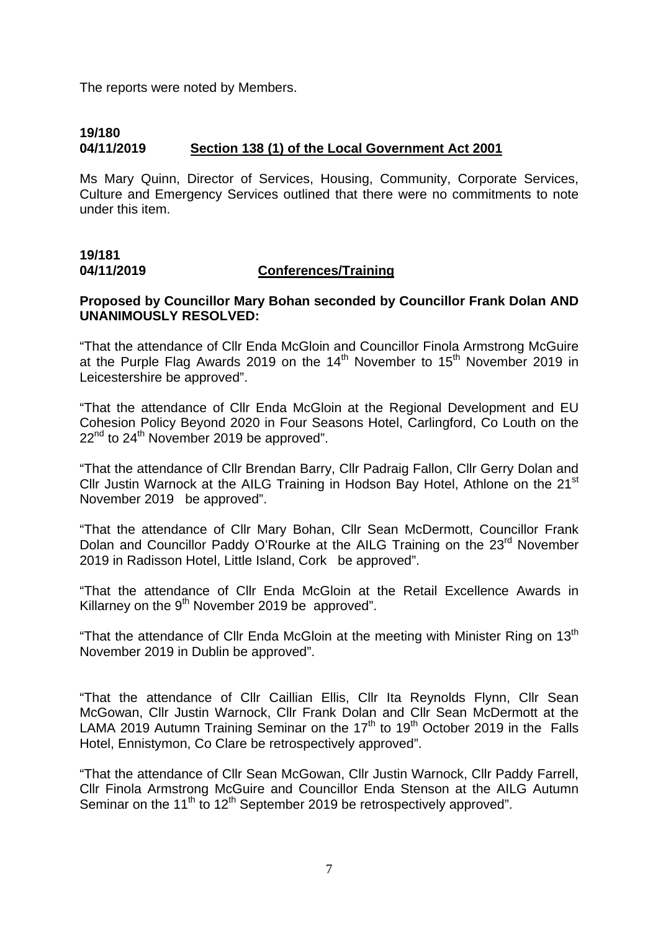The reports were noted by Members.

# **19/180 04/11/2019 Section 138 (1) of the Local Government Act 2001**

Ms Mary Quinn, Director of Services, Housing, Community, Corporate Services, Culture and Emergency Services outlined that there were no commitments to note under this item.

# **19/181 04/11/2019 Conferences/Training**

#### **Proposed by Councillor Mary Bohan seconded by Councillor Frank Dolan AND UNANIMOUSLY RESOLVED:**

"That the attendance of Cllr Enda McGloin and Councillor Finola Armstrong McGuire at the Purple Flag Awards 2019 on the  $14<sup>th</sup>$  November to  $15<sup>th</sup>$  November 2019 in Leicestershire be approved".

"That the attendance of Cllr Enda McGloin at the Regional Development and EU Cohesion Policy Beyond 2020 in Four Seasons Hotel, Carlingford, Co Louth on the  $22<sup>nd</sup>$  to  $24<sup>th</sup>$  November 2019 be approved".

"That the attendance of Cllr Brendan Barry, Cllr Padraig Fallon, Cllr Gerry Dolan and Cllr Justin Warnock at the AILG Training in Hodson Bay Hotel, Athlone on the 21<sup>st</sup> November 2019 be approved".

"That the attendance of Cllr Mary Bohan, Cllr Sean McDermott, Councillor Frank Dolan and Councillor Paddy O'Rourke at the AILG Training on the 23<sup>rd</sup> November 2019 in Radisson Hotel, Little Island, Cork be approved".

"That the attendance of Cllr Enda McGloin at the Retail Excellence Awards in Killarney on the  $9<sup>th</sup>$  November 2019 be approved".

"That the attendance of Cllr Enda McGloin at the meeting with Minister Ring on  $13<sup>th</sup>$ November 2019 in Dublin be approved".

"That the attendance of Cllr Caillian Ellis, Cllr Ita Reynolds Flynn, Cllr Sean McGowan, Cllr Justin Warnock, Cllr Frank Dolan and Cllr Sean McDermott at the LAMA 2019 Autumn Training Seminar on the 17<sup>th</sup> to 19<sup>th</sup> October 2019 in the Falls Hotel, Ennistymon, Co Clare be retrospectively approved".

"That the attendance of Cllr Sean McGowan, Cllr Justin Warnock, Cllr Paddy Farrell, Cllr Finola Armstrong McGuire and Councillor Enda Stenson at the AILG Autumn Seminar on the 11<sup>th</sup> to 12<sup>th</sup> September 2019 be retrospectively approved".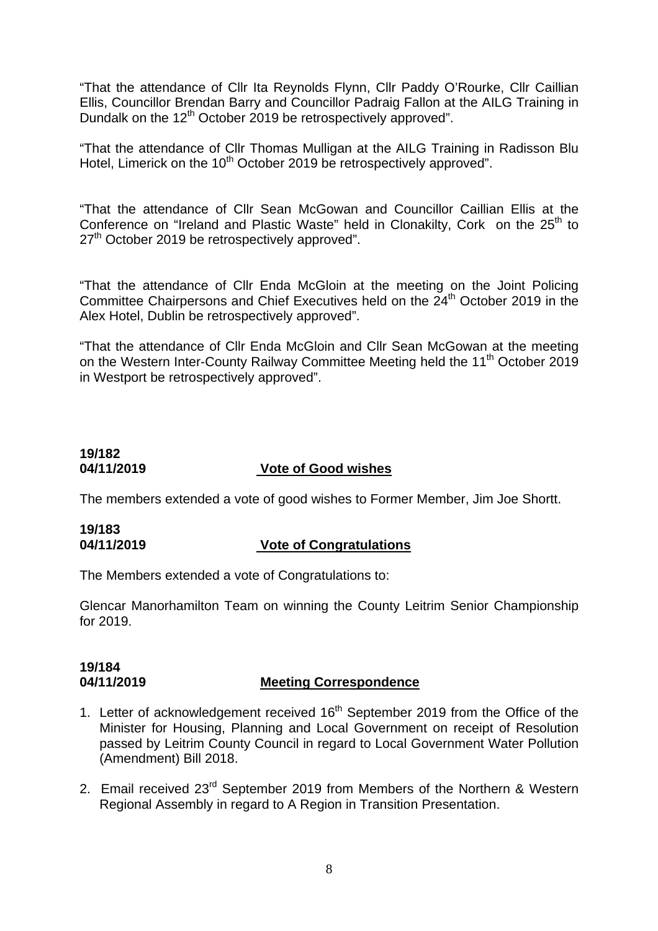"That the attendance of Cllr Ita Reynolds Flynn, Cllr Paddy O'Rourke, Cllr Caillian Ellis, Councillor Brendan Barry and Councillor Padraig Fallon at the AILG Training in Dundalk on the 12<sup>th</sup> October 2019 be retrospectively approved".

"That the attendance of Cllr Thomas Mulligan at the AILG Training in Radisson Blu Hotel, Limerick on the 10<sup>th</sup> October 2019 be retrospectively approved".

"That the attendance of Cllr Sean McGowan and Councillor Caillian Ellis at the Conference on "Ireland and Plastic Waste" held in Clonakilty, Cork on the  $25<sup>th</sup>$  to 27<sup>th</sup> October 2019 be retrospectively approved".

"That the attendance of Cllr Enda McGloin at the meeting on the Joint Policing Committee Chairpersons and Chief Executives held on the 24<sup>th</sup> October 2019 in the Alex Hotel, Dublin be retrospectively approved".

"That the attendance of Cllr Enda McGloin and Cllr Sean McGowan at the meeting on the Western Inter-County Railway Committee Meeting held the 11<sup>th</sup> October 2019 in Westport be retrospectively approved".

# **19/182 04/11/2019 Vote of Good wishes**

The members extended a vote of good wishes to Former Member, Jim Joe Shortt.

# **19/183 04/11/2019 Vote of Congratulations**

The Members extended a vote of Congratulations to:

Glencar Manorhamilton Team on winning the County Leitrim Senior Championship for 2019.

#### **19/184 04/11/2019 Meeting Correspondence**

- 1. Letter of acknowledgement received 16<sup>th</sup> September 2019 from the Office of the Minister for Housing, Planning and Local Government on receipt of Resolution passed by Leitrim County Council in regard to Local Government Water Pollution (Amendment) Bill 2018.
- 2. Email received 23<sup>rd</sup> September 2019 from Members of the Northern & Western Regional Assembly in regard to A Region in Transition Presentation.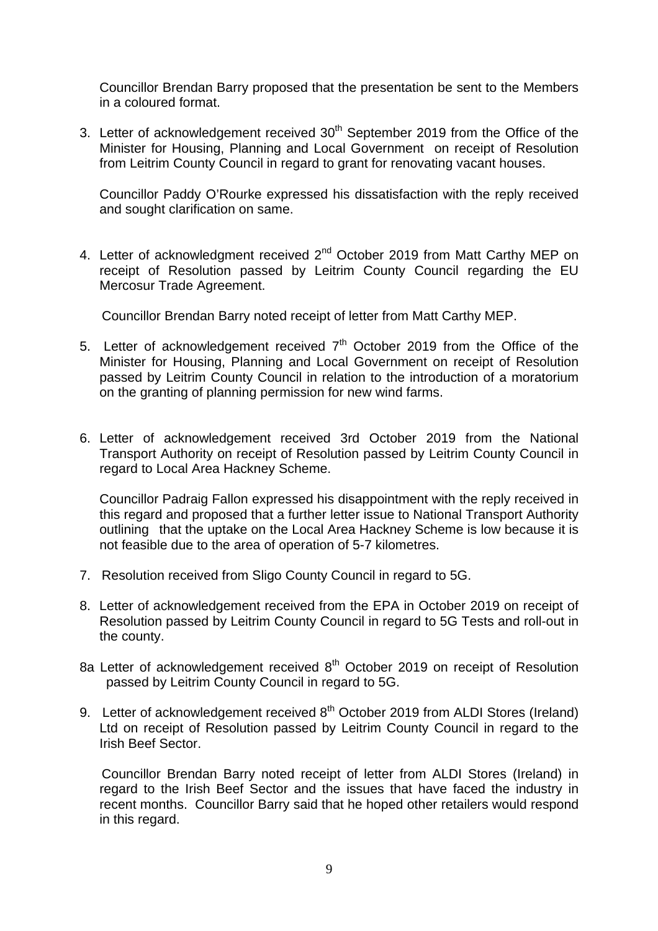Councillor Brendan Barry proposed that the presentation be sent to the Members in a coloured format.

3. Letter of acknowledgement received  $30<sup>th</sup>$  September 2019 from the Office of the Minister for Housing, Planning and Local Government on receipt of Resolution from Leitrim County Council in regard to grant for renovating vacant houses.

Councillor Paddy O'Rourke expressed his dissatisfaction with the reply received and sought clarification on same.

4. Letter of acknowledgment received 2<sup>nd</sup> October 2019 from Matt Carthy MEP on receipt of Resolution passed by Leitrim County Council regarding the EU Mercosur Trade Agreement.

Councillor Brendan Barry noted receipt of letter from Matt Carthy MEP.

- 5. Letter of acknowledgement received  $7<sup>th</sup>$  October 2019 from the Office of the Minister for Housing, Planning and Local Government on receipt of Resolution passed by Leitrim County Council in relation to the introduction of a moratorium on the granting of planning permission for new wind farms.
- 6. Letter of acknowledgement received 3rd October 2019 from the National Transport Authority on receipt of Resolution passed by Leitrim County Council in regard to Local Area Hackney Scheme.

Councillor Padraig Fallon expressed his disappointment with the reply received in this regard and proposed that a further letter issue to National Transport Authority outlining that the uptake on the Local Area Hackney Scheme is low because it is not feasible due to the area of operation of 5-7 kilometres.

- 7. Resolution received from Sligo County Council in regard to 5G.
- 8. Letter of acknowledgement received from the EPA in October 2019 on receipt of Resolution passed by Leitrim County Council in regard to 5G Tests and roll-out in the county.
- 8a Letter of acknowledgement received 8<sup>th</sup> October 2019 on receipt of Resolution passed by Leitrim County Council in regard to 5G.
- 9. Letter of acknowledgement received 8<sup>th</sup> October 2019 from ALDI Stores (Ireland) Ltd on receipt of Resolution passed by Leitrim County Council in regard to the Irish Beef Sector.

 Councillor Brendan Barry noted receipt of letter from ALDI Stores (Ireland) in regard to the Irish Beef Sector and the issues that have faced the industry in recent months. Councillor Barry said that he hoped other retailers would respond in this regard.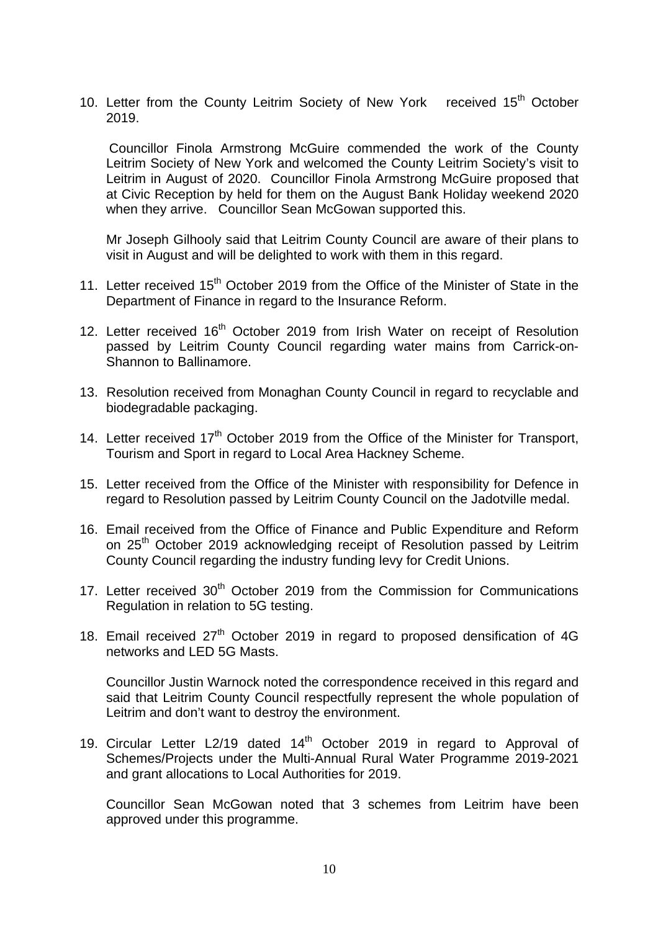10. Letter from the County Leitrim Society of New York received 15<sup>th</sup> October 2019.

 Councillor Finola Armstrong McGuire commended the work of the County Leitrim Society of New York and welcomed the County Leitrim Society's visit to Leitrim in August of 2020. Councillor Finola Armstrong McGuire proposed that at Civic Reception by held for them on the August Bank Holiday weekend 2020 when they arrive. Councillor Sean McGowan supported this.

 Mr Joseph Gilhooly said that Leitrim County Council are aware of their plans to visit in August and will be delighted to work with them in this regard.

- 11. Letter received  $15<sup>th</sup>$  October 2019 from the Office of the Minister of State in the Department of Finance in regard to the Insurance Reform.
- 12. Letter received 16<sup>th</sup> October 2019 from Irish Water on receipt of Resolution passed by Leitrim County Council regarding water mains from Carrick-on-Shannon to Ballinamore.
- 13. Resolution received from Monaghan County Council in regard to recyclable and biodegradable packaging.
- 14. Letter received 17<sup>th</sup> October 2019 from the Office of the Minister for Transport, Tourism and Sport in regard to Local Area Hackney Scheme.
- 15. Letter received from the Office of the Minister with responsibility for Defence in regard to Resolution passed by Leitrim County Council on the Jadotville medal.
- 16. Email received from the Office of Finance and Public Expenditure and Reform on 25<sup>th</sup> October 2019 acknowledging receipt of Resolution passed by Leitrim County Council regarding the industry funding levy for Credit Unions.
- 17. Letter received  $30<sup>th</sup>$  October 2019 from the Commission for Communications Regulation in relation to 5G testing.
- 18. Email received  $27<sup>th</sup>$  October 2019 in regard to proposed densification of 4G networks and LED 5G Masts.

Councillor Justin Warnock noted the correspondence received in this regard and said that Leitrim County Council respectfully represent the whole population of Leitrim and don't want to destroy the environment.

19. Circular Letter L2/19 dated  $14<sup>th</sup>$  October 2019 in regard to Approval of Schemes/Projects under the Multi-Annual Rural Water Programme 2019-2021 and grant allocations to Local Authorities for 2019.

 Councillor Sean McGowan noted that 3 schemes from Leitrim have been approved under this programme.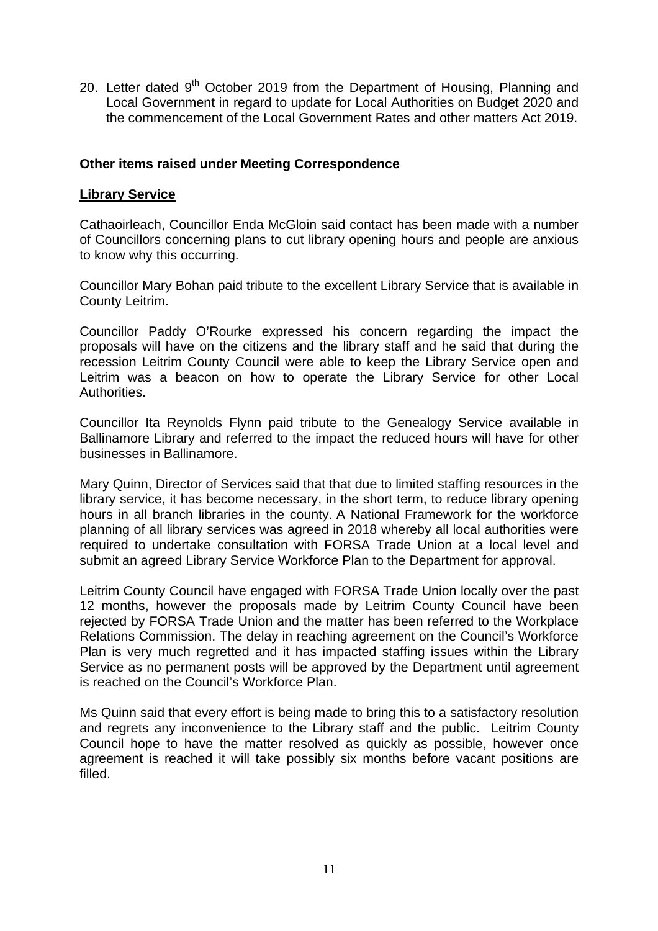20. Letter dated 9<sup>th</sup> October 2019 from the Department of Housing, Planning and Local Government in regard to update for Local Authorities on Budget 2020 and the commencement of the Local Government Rates and other matters Act 2019.

# **Other items raised under Meeting Correspondence**

# **Library Service**

Cathaoirleach, Councillor Enda McGloin said contact has been made with a number of Councillors concerning plans to cut library opening hours and people are anxious to know why this occurring.

Councillor Mary Bohan paid tribute to the excellent Library Service that is available in County Leitrim.

Councillor Paddy O'Rourke expressed his concern regarding the impact the proposals will have on the citizens and the library staff and he said that during the recession Leitrim County Council were able to keep the Library Service open and Leitrim was a beacon on how to operate the Library Service for other Local Authorities.

Councillor Ita Reynolds Flynn paid tribute to the Genealogy Service available in Ballinamore Library and referred to the impact the reduced hours will have for other businesses in Ballinamore.

Mary Quinn, Director of Services said that that due to limited staffing resources in the library service, it has become necessary, in the short term, to reduce library opening hours in all branch libraries in the county. A National Framework for the workforce planning of all library services was agreed in 2018 whereby all local authorities were required to undertake consultation with FORSA Trade Union at a local level and submit an agreed Library Service Workforce Plan to the Department for approval.

Leitrim County Council have engaged with FORSA Trade Union locally over the past 12 months, however the proposals made by Leitrim County Council have been rejected by FORSA Trade Union and the matter has been referred to the Workplace Relations Commission. The delay in reaching agreement on the Council's Workforce Plan is very much regretted and it has impacted staffing issues within the Library Service as no permanent posts will be approved by the Department until agreement is reached on the Council's Workforce Plan.

Ms Quinn said that every effort is being made to bring this to a satisfactory resolution and regrets any inconvenience to the Library staff and the public. Leitrim County Council hope to have the matter resolved as quickly as possible, however once agreement is reached it will take possibly six months before vacant positions are filled.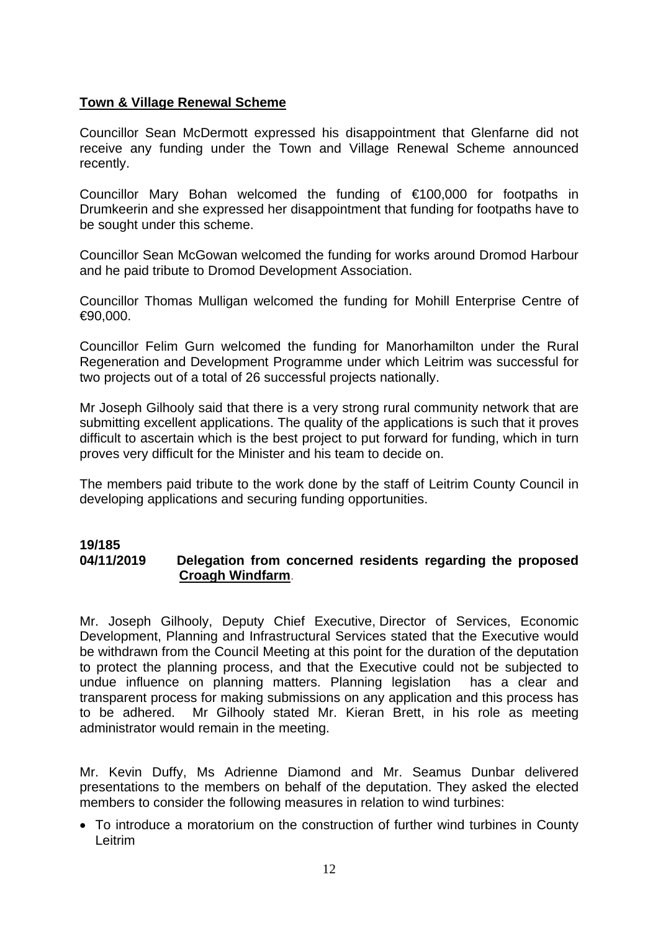# **Town & Village Renewal Scheme**

Councillor Sean McDermott expressed his disappointment that Glenfarne did not receive any funding under the Town and Village Renewal Scheme announced recently.

Councillor Mary Bohan welcomed the funding of €100,000 for footpaths in Drumkeerin and she expressed her disappointment that funding for footpaths have to be sought under this scheme.

Councillor Sean McGowan welcomed the funding for works around Dromod Harbour and he paid tribute to Dromod Development Association.

Councillor Thomas Mulligan welcomed the funding for Mohill Enterprise Centre of  $€90,000.$ 

Councillor Felim Gurn welcomed the funding for Manorhamilton under the Rural Regeneration and Development Programme under which Leitrim was successful for two projects out of a total of 26 successful projects nationally.

Mr Joseph Gilhooly said that there is a very strong rural community network that are submitting excellent applications. The quality of the applications is such that it proves difficult to ascertain which is the best project to put forward for funding, which in turn proves very difficult for the Minister and his team to decide on.

The members paid tribute to the work done by the staff of Leitrim County Council in developing applications and securing funding opportunities.

#### **19/185 04/11/2019 Delegation from concerned residents regarding the proposed Croagh Windfarm**.

Mr. Joseph Gilhooly, Deputy Chief Executive, Director of Services, Economic Development, Planning and Infrastructural Services stated that the Executive would be withdrawn from the Council Meeting at this point for the duration of the deputation to protect the planning process, and that the Executive could not be subjected to undue influence on planning matters. Planning legislation has a clear and transparent process for making submissions on any application and this process has to be adhered. Mr Gilhooly stated Mr. Kieran Brett, in his role as meeting administrator would remain in the meeting.

Mr. Kevin Duffy, Ms Adrienne Diamond and Mr. Seamus Dunbar delivered presentations to the members on behalf of the deputation. They asked the elected members to consider the following measures in relation to wind turbines:

• To introduce a moratorium on the construction of further wind turbines in County Leitrim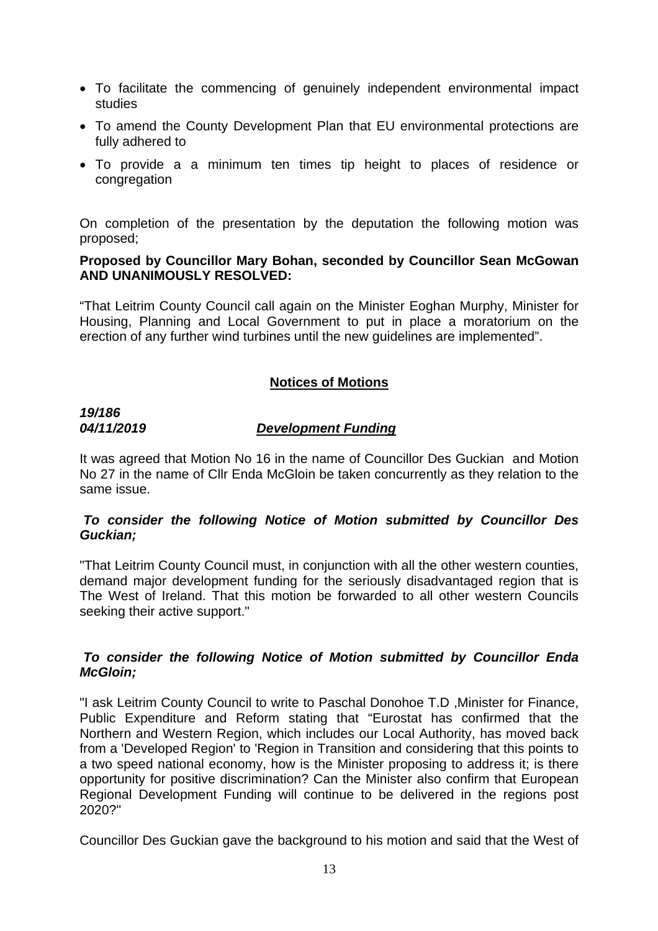- To facilitate the commencing of genuinely independent environmental impact studies
- To amend the County Development Plan that EU environmental protections are fully adhered to
- To provide a a minimum ten times tip height to places of residence or congregation

On completion of the presentation by the deputation the following motion was proposed;

#### **Proposed by Councillor Mary Bohan, seconded by Councillor Sean McGowan AND UNANIMOUSLY RESOLVED:**

"That Leitrim County Council call again on the Minister Eoghan Murphy, Minister for Housing, Planning and Local Government to put in place a moratorium on the erection of any further wind turbines until the new guidelines are implemented".

# **Notices of Motions**

# *19/186*

# *04/11/2019 Development Funding*

It was agreed that Motion No 16 in the name of Councillor Des Guckian and Motion No 27 in the name of Cllr Enda McGloin be taken concurrently as they relation to the same issue.

# *To consider the following Notice of Motion submitted by Councillor Des Guckian;*

"That Leitrim County Council must, in conjunction with all the other western counties, demand major development funding for the seriously disadvantaged region that is The West of Ireland. That this motion be forwarded to all other western Councils seeking their active support."

# *To consider the following Notice of Motion submitted by Councillor Enda McGloin;*

"I ask Leitrim County Council to write to Paschal Donohoe T.D ,Minister for Finance, Public Expenditure and Reform stating that "Eurostat has confirmed that the Northern and Western Region, which includes our Local Authority, has moved back from a 'Developed Region' to 'Region in Transition and considering that this points to a two speed national economy, how is the Minister proposing to address it; is there opportunity for positive discrimination? Can the Minister also confirm that European Regional Development Funding will continue to be delivered in the regions post 2020?"

Councillor Des Guckian gave the background to his motion and said that the West of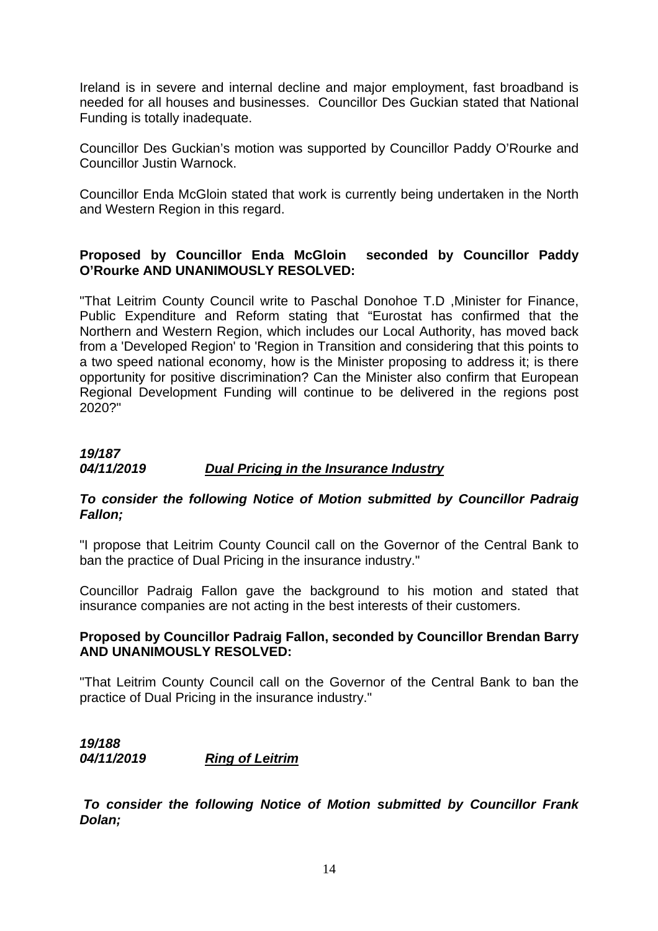Ireland is in severe and internal decline and major employment, fast broadband is needed for all houses and businesses. Councillor Des Guckian stated that National Funding is totally inadequate.

Councillor Des Guckian's motion was supported by Councillor Paddy O'Rourke and Councillor Justin Warnock.

Councillor Enda McGloin stated that work is currently being undertaken in the North and Western Region in this regard.

# **Proposed by Councillor Enda McGloin seconded by Councillor Paddy O'Rourke AND UNANIMOUSLY RESOLVED:**

"That Leitrim County Council write to Paschal Donohoe T.D ,Minister for Finance, Public Expenditure and Reform stating that "Eurostat has confirmed that the Northern and Western Region, which includes our Local Authority, has moved back from a 'Developed Region' to 'Region in Transition and considering that this points to a two speed national economy, how is the Minister proposing to address it; is there opportunity for positive discrimination? Can the Minister also confirm that European Regional Development Funding will continue to be delivered in the regions post 2020?"

# *19/187 04/11/2019 Dual Pricing in the Insurance Industry*

# *To consider the following Notice of Motion submitted by Councillor Padraig Fallon;*

"I propose that Leitrim County Council call on the Governor of the Central Bank to ban the practice of Dual Pricing in the insurance industry."

Councillor Padraig Fallon gave the background to his motion and stated that insurance companies are not acting in the best interests of their customers.

# **Proposed by Councillor Padraig Fallon, seconded by Councillor Brendan Barry AND UNANIMOUSLY RESOLVED:**

"That Leitrim County Council call on the Governor of the Central Bank to ban the practice of Dual Pricing in the insurance industry."

# *19/188 04/11/2019 Ring of Leitrim*

 *To consider the following Notice of Motion submitted by Councillor Frank Dolan;*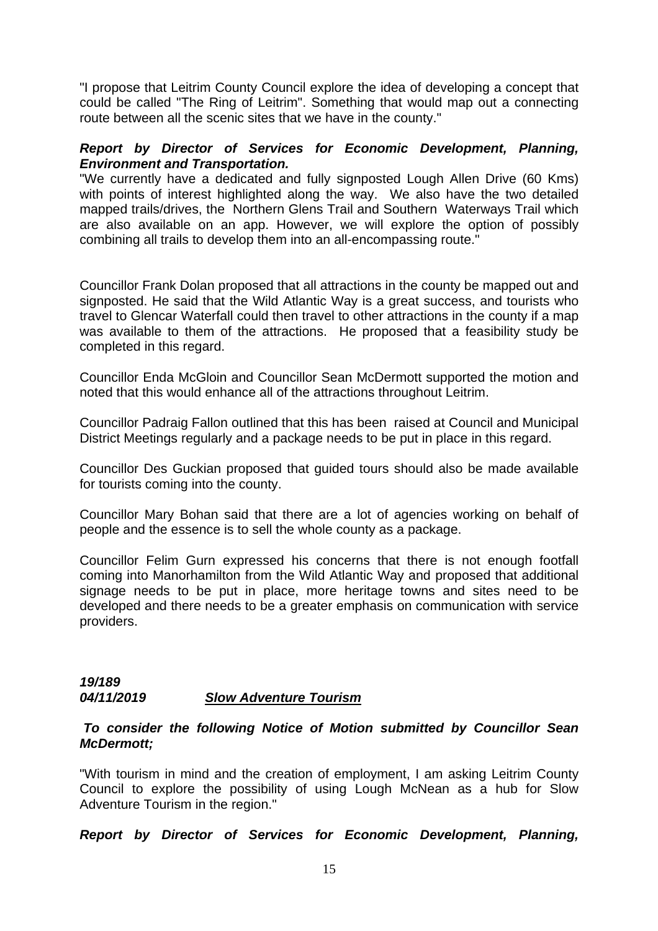"I propose that Leitrim County Council explore the idea of developing a concept that could be called "The Ring of Leitrim". Something that would map out a connecting route between all the scenic sites that we have in the county."

### *Report by Director of Services for Economic Development, Planning, Environment and Transportation.*

"We currently have a dedicated and fully signposted Lough Allen Drive (60 Kms) with points of interest highlighted along the way. We also have the two detailed mapped trails/drives, the Northern Glens Trail and Southern Waterways Trail which are also available on an app. However, we will explore the option of possibly combining all trails to develop them into an all-encompassing route."

Councillor Frank Dolan proposed that all attractions in the county be mapped out and signposted. He said that the Wild Atlantic Way is a great success, and tourists who travel to Glencar Waterfall could then travel to other attractions in the county if a map was available to them of the attractions. He proposed that a feasibility study be completed in this regard.

Councillor Enda McGloin and Councillor Sean McDermott supported the motion and noted that this would enhance all of the attractions throughout Leitrim.

Councillor Padraig Fallon outlined that this has been raised at Council and Municipal District Meetings regularly and a package needs to be put in place in this regard.

Councillor Des Guckian proposed that guided tours should also be made available for tourists coming into the county.

Councillor Mary Bohan said that there are a lot of agencies working on behalf of people and the essence is to sell the whole county as a package.

Councillor Felim Gurn expressed his concerns that there is not enough footfall coming into Manorhamilton from the Wild Atlantic Way and proposed that additional signage needs to be put in place, more heritage towns and sites need to be developed and there needs to be a greater emphasis on communication with service providers.

#### *19/189 04/11/2019 Slow Adventure Tourism*

#### *To consider the following Notice of Motion submitted by Councillor Sean McDermott;*

"With tourism in mind and the creation of employment, I am asking Leitrim County Council to explore the possibility of using Lough McNean as a hub for Slow Adventure Tourism in the region."

*Report by Director of Services for Economic Development, Planning,*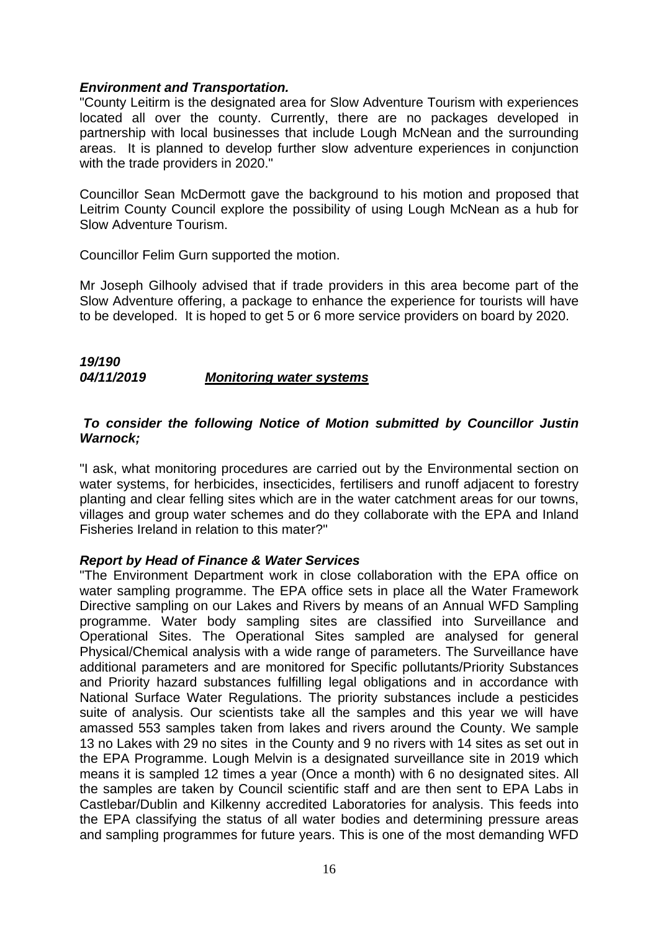#### *Environment and Transportation.*

"County Leitirm is the designated area for Slow Adventure Tourism with experiences located all over the county. Currently, there are no packages developed in partnership with local businesses that include Lough McNean and the surrounding areas. It is planned to develop further slow adventure experiences in conjunction with the trade providers in 2020."

Councillor Sean McDermott gave the background to his motion and proposed that Leitrim County Council explore the possibility of using Lough McNean as a hub for Slow Adventure Tourism.

Councillor Felim Gurn supported the motion.

Mr Joseph Gilhooly advised that if trade providers in this area become part of the Slow Adventure offering, a package to enhance the experience for tourists will have to be developed. It is hoped to get 5 or 6 more service providers on board by 2020.

# *19/190 04/11/2019 Monitoring water systems*

### *To consider the following Notice of Motion submitted by Councillor Justin Warnock;*

"I ask, what monitoring procedures are carried out by the Environmental section on water systems, for herbicides, insecticides, fertilisers and runoff adjacent to forestry planting and clear felling sites which are in the water catchment areas for our towns, villages and group water schemes and do they collaborate with the EPA and Inland Fisheries Ireland in relation to this mater?"

# *Report by Head of Finance & Water Services*

"The Environment Department work in close collaboration with the EPA office on water sampling programme. The EPA office sets in place all the Water Framework Directive sampling on our Lakes and Rivers by means of an Annual WFD Sampling programme. Water body sampling sites are classified into Surveillance and Operational Sites. The Operational Sites sampled are analysed for general Physical/Chemical analysis with a wide range of parameters. The Surveillance have additional parameters and are monitored for Specific pollutants/Priority Substances and Priority hazard substances fulfilling legal obligations and in accordance with National Surface Water Regulations. The priority substances include a pesticides suite of analysis. Our scientists take all the samples and this year we will have amassed 553 samples taken from lakes and rivers around the County. We sample 13 no Lakes with 29 no sites in the County and 9 no rivers with 14 sites as set out in the EPA Programme. Lough Melvin is a designated surveillance site in 2019 which means it is sampled 12 times a year (Once a month) with 6 no designated sites. All the samples are taken by Council scientific staff and are then sent to EPA Labs in Castlebar/Dublin and Kilkenny accredited Laboratories for analysis. This feeds into the EPA classifying the status of all water bodies and determining pressure areas and sampling programmes for future years. This is one of the most demanding WFD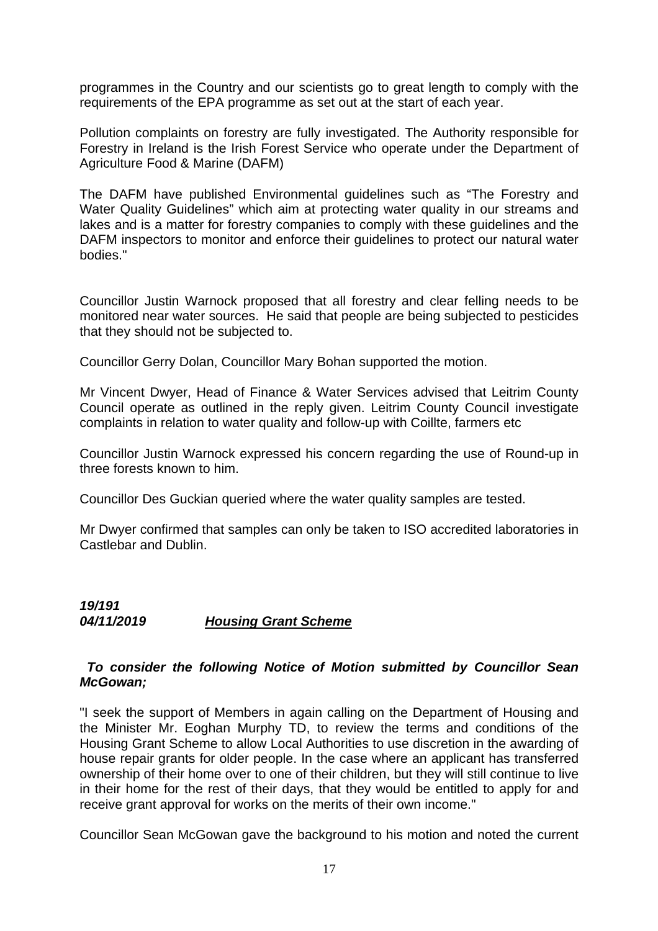programmes in the Country and our scientists go to great length to comply with the requirements of the EPA programme as set out at the start of each year.

Pollution complaints on forestry are fully investigated. The Authority responsible for Forestry in Ireland is the Irish Forest Service who operate under the Department of Agriculture Food & Marine (DAFM)

The DAFM have published Environmental guidelines such as "The Forestry and Water Quality Guidelines" which aim at protecting water quality in our streams and lakes and is a matter for forestry companies to comply with these guidelines and the DAFM inspectors to monitor and enforce their guidelines to protect our natural water bodies."

Councillor Justin Warnock proposed that all forestry and clear felling needs to be monitored near water sources. He said that people are being subjected to pesticides that they should not be subjected to.

Councillor Gerry Dolan, Councillor Mary Bohan supported the motion.

Mr Vincent Dwyer, Head of Finance & Water Services advised that Leitrim County Council operate as outlined in the reply given. Leitrim County Council investigate complaints in relation to water quality and follow-up with Coillte, farmers etc

Councillor Justin Warnock expressed his concern regarding the use of Round-up in three forests known to him.

Councillor Des Guckian queried where the water quality samples are tested.

Mr Dwyer confirmed that samples can only be taken to ISO accredited laboratories in Castlebar and Dublin.

# *19/191 04/11/2019 Housing Grant Scheme*

# *To consider the following Notice of Motion submitted by Councillor Sean McGowan;*

"I seek the support of Members in again calling on the Department of Housing and the Minister Mr. Eoghan Murphy TD, to review the terms and conditions of the Housing Grant Scheme to allow Local Authorities to use discretion in the awarding of house repair grants for older people. In the case where an applicant has transferred ownership of their home over to one of their children, but they will still continue to live in their home for the rest of their days, that they would be entitled to apply for and receive grant approval for works on the merits of their own income."

Councillor Sean McGowan gave the background to his motion and noted the current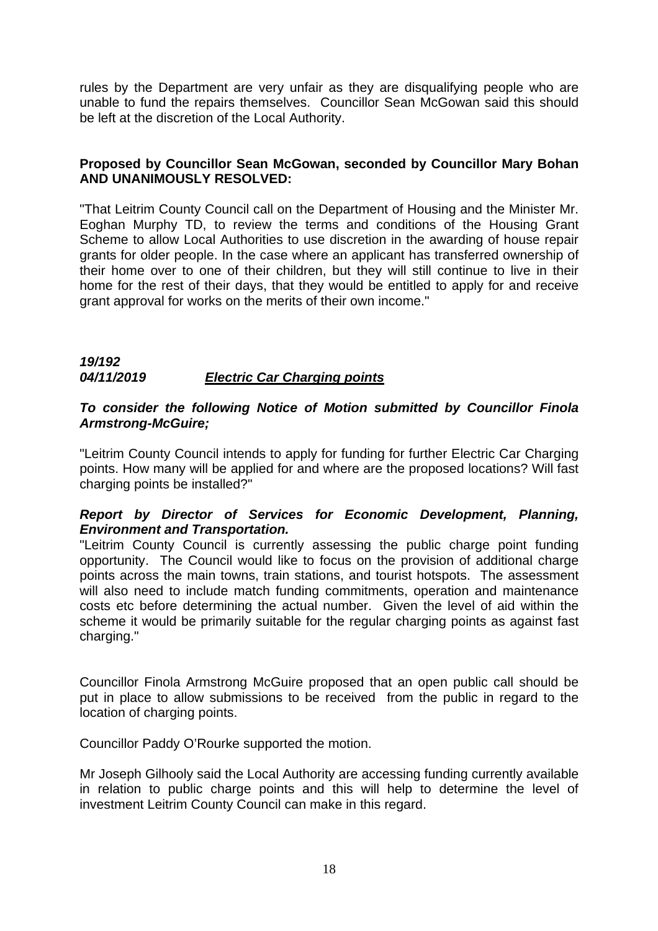rules by the Department are very unfair as they are disqualifying people who are unable to fund the repairs themselves. Councillor Sean McGowan said this should be left at the discretion of the Local Authority.

# **Proposed by Councillor Sean McGowan, seconded by Councillor Mary Bohan AND UNANIMOUSLY RESOLVED:**

"That Leitrim County Council call on the Department of Housing and the Minister Mr. Eoghan Murphy TD, to review the terms and conditions of the Housing Grant Scheme to allow Local Authorities to use discretion in the awarding of house repair grants for older people. In the case where an applicant has transferred ownership of their home over to one of their children, but they will still continue to live in their home for the rest of their days, that they would be entitled to apply for and receive grant approval for works on the merits of their own income."

# *19/192 04/11/2019 Electric Car Charging points*

# *To consider the following Notice of Motion submitted by Councillor Finola Armstrong-McGuire;*

"Leitrim County Council intends to apply for funding for further Electric Car Charging points. How many will be applied for and where are the proposed locations? Will fast charging points be installed?"

# *Report by Director of Services for Economic Development, Planning, Environment and Transportation.*

"Leitrim County Council is currently assessing the public charge point funding opportunity. The Council would like to focus on the provision of additional charge points across the main towns, train stations, and tourist hotspots. The assessment will also need to include match funding commitments, operation and maintenance costs etc before determining the actual number. Given the level of aid within the scheme it would be primarily suitable for the regular charging points as against fast charging."

Councillor Finola Armstrong McGuire proposed that an open public call should be put in place to allow submissions to be received from the public in regard to the location of charging points.

Councillor Paddy O'Rourke supported the motion.

Mr Joseph Gilhooly said the Local Authority are accessing funding currently available in relation to public charge points and this will help to determine the level of investment Leitrim County Council can make in this regard.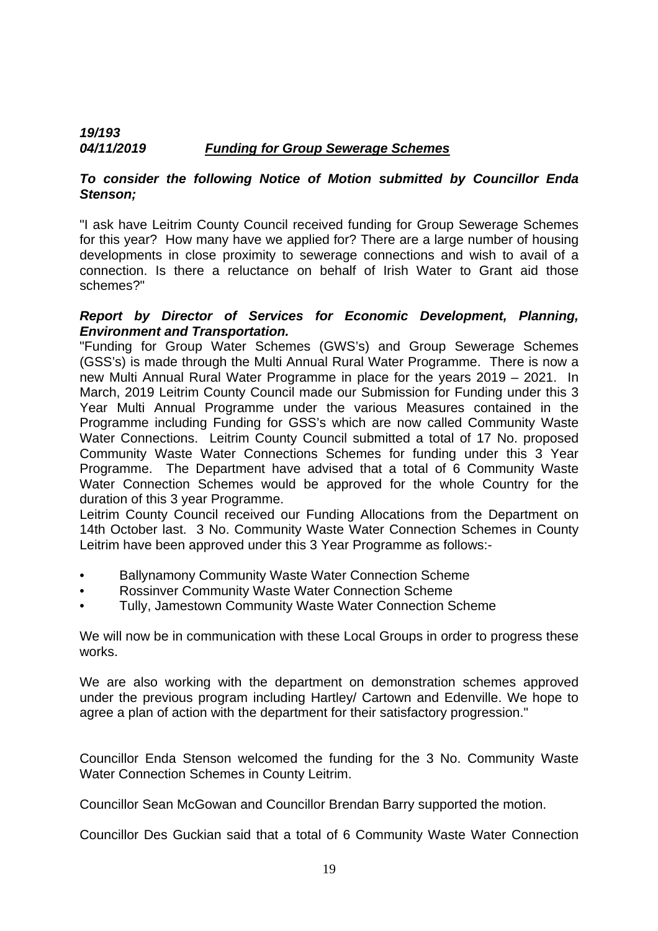# *19/193 04/11/2019 Funding for Group Sewerage Schemes*

# *To consider the following Notice of Motion submitted by Councillor Enda Stenson;*

"I ask have Leitrim County Council received funding for Group Sewerage Schemes for this year? How many have we applied for? There are a large number of housing developments in close proximity to sewerage connections and wish to avail of a connection. Is there a reluctance on behalf of Irish Water to Grant aid those schemes?"

# *Report by Director of Services for Economic Development, Planning, Environment and Transportation.*

"Funding for Group Water Schemes (GWS's) and Group Sewerage Schemes (GSS's) is made through the Multi Annual Rural Water Programme. There is now a new Multi Annual Rural Water Programme in place for the years 2019 – 2021. In March, 2019 Leitrim County Council made our Submission for Funding under this 3 Year Multi Annual Programme under the various Measures contained in the Programme including Funding for GSS's which are now called Community Waste Water Connections. Leitrim County Council submitted a total of 17 No. proposed Community Waste Water Connections Schemes for funding under this 3 Year Programme. The Department have advised that a total of 6 Community Waste Water Connection Schemes would be approved for the whole Country for the duration of this 3 year Programme.

Leitrim County Council received our Funding Allocations from the Department on 14th October last. 3 No. Community Waste Water Connection Schemes in County Leitrim have been approved under this 3 Year Programme as follows:-

- Ballynamony Community Waste Water Connection Scheme
- Rossinver Community Waste Water Connection Scheme
- Tully, Jamestown Community Waste Water Connection Scheme

We will now be in communication with these Local Groups in order to progress these works.

We are also working with the department on demonstration schemes approved under the previous program including Hartley/ Cartown and Edenville. We hope to agree a plan of action with the department for their satisfactory progression."

Councillor Enda Stenson welcomed the funding for the 3 No. Community Waste Water Connection Schemes in County Leitrim.

Councillor Sean McGowan and Councillor Brendan Barry supported the motion.

Councillor Des Guckian said that a total of 6 Community Waste Water Connection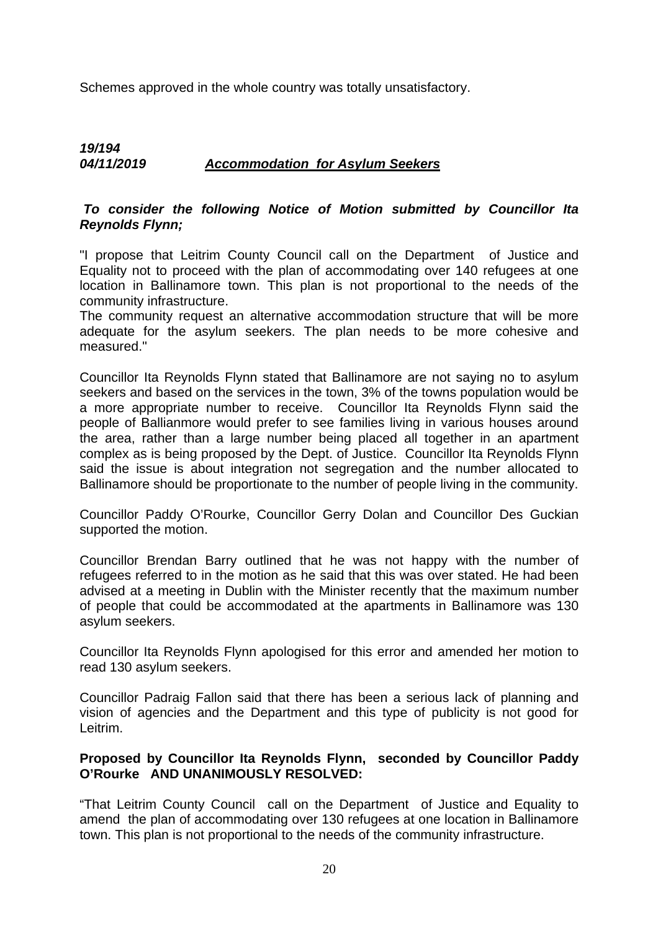Schemes approved in the whole country was totally unsatisfactory.

# *19/194 04/11/2019 Accommodation for Asylum Seekers*

# *To consider the following Notice of Motion submitted by Councillor Ita Reynolds Flynn;*

"I propose that Leitrim County Council call on the Department of Justice and Equality not to proceed with the plan of accommodating over 140 refugees at one location in Ballinamore town. This plan is not proportional to the needs of the community infrastructure.

The community request an alternative accommodation structure that will be more adequate for the asylum seekers. The plan needs to be more cohesive and measured."

Councillor Ita Reynolds Flynn stated that Ballinamore are not saying no to asylum seekers and based on the services in the town, 3% of the towns population would be a more appropriate number to receive. Councillor Ita Reynolds Flynn said the people of Ballianmore would prefer to see families living in various houses around the area, rather than a large number being placed all together in an apartment complex as is being proposed by the Dept. of Justice. Councillor Ita Reynolds Flynn said the issue is about integration not segregation and the number allocated to Ballinamore should be proportionate to the number of people living in the community.

Councillor Paddy O'Rourke, Councillor Gerry Dolan and Councillor Des Guckian supported the motion.

Councillor Brendan Barry outlined that he was not happy with the number of refugees referred to in the motion as he said that this was over stated. He had been advised at a meeting in Dublin with the Minister recently that the maximum number of people that could be accommodated at the apartments in Ballinamore was 130 asylum seekers.

Councillor Ita Reynolds Flynn apologised for this error and amended her motion to read 130 asylum seekers.

Councillor Padraig Fallon said that there has been a serious lack of planning and vision of agencies and the Department and this type of publicity is not good for Leitrim.

# **Proposed by Councillor Ita Reynolds Flynn, seconded by Councillor Paddy O'Rourke AND UNANIMOUSLY RESOLVED:**

"That Leitrim County Council call on the Department of Justice and Equality to amend the plan of accommodating over 130 refugees at one location in Ballinamore town. This plan is not proportional to the needs of the community infrastructure.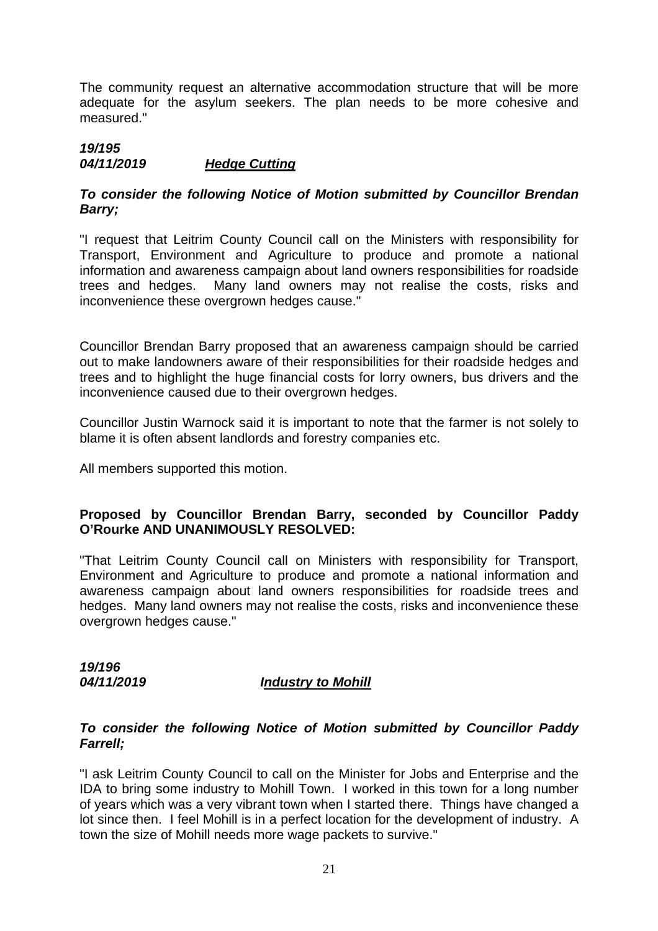The community request an alternative accommodation structure that will be more adequate for the asylum seekers. The plan needs to be more cohesive and measured."

#### *19/195 04/11/2019 Hedge Cutting*

# *To consider the following Notice of Motion submitted by Councillor Brendan Barry;*

"I request that Leitrim County Council call on the Ministers with responsibility for Transport, Environment and Agriculture to produce and promote a national information and awareness campaign about land owners responsibilities for roadside trees and hedges. Many land owners may not realise the costs, risks and inconvenience these overgrown hedges cause."

Councillor Brendan Barry proposed that an awareness campaign should be carried out to make landowners aware of their responsibilities for their roadside hedges and trees and to highlight the huge financial costs for lorry owners, bus drivers and the inconvenience caused due to their overgrown hedges.

Councillor Justin Warnock said it is important to note that the farmer is not solely to blame it is often absent landlords and forestry companies etc.

All members supported this motion.

# **Proposed by Councillor Brendan Barry, seconded by Councillor Paddy O'Rourke AND UNANIMOUSLY RESOLVED:**

"That Leitrim County Council call on Ministers with responsibility for Transport, Environment and Agriculture to produce and promote a national information and awareness campaign about land owners responsibilities for roadside trees and hedges. Many land owners may not realise the costs, risks and inconvenience these overgrown hedges cause."

*19/196* 

# *04/11/2019 Industry to Mohill*

# *To consider the following Notice of Motion submitted by Councillor Paddy Farrell;*

"I ask Leitrim County Council to call on the Minister for Jobs and Enterprise and the IDA to bring some industry to Mohill Town. I worked in this town for a long number of years which was a very vibrant town when I started there. Things have changed a lot since then. I feel Mohill is in a perfect location for the development of industry. A town the size of Mohill needs more wage packets to survive."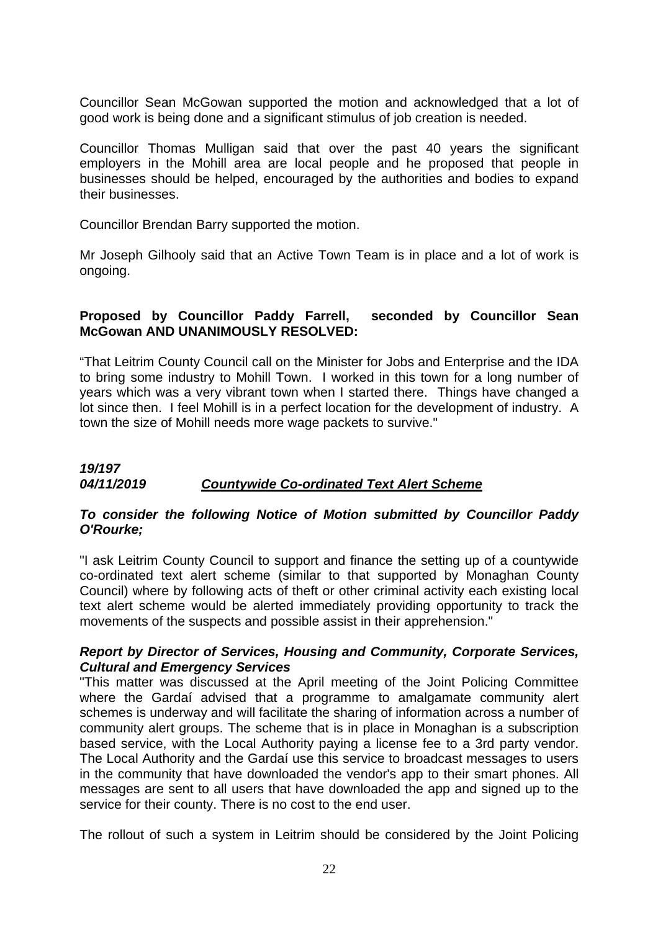Councillor Sean McGowan supported the motion and acknowledged that a lot of good work is being done and a significant stimulus of job creation is needed.

Councillor Thomas Mulligan said that over the past 40 years the significant employers in the Mohill area are local people and he proposed that people in businesses should be helped, encouraged by the authorities and bodies to expand their businesses.

Councillor Brendan Barry supported the motion.

Mr Joseph Gilhooly said that an Active Town Team is in place and a lot of work is ongoing.

# **Proposed by Councillor Paddy Farrell, seconded by Councillor Sean McGowan AND UNANIMOUSLY RESOLVED:**

"That Leitrim County Council call on the Minister for Jobs and Enterprise and the IDA to bring some industry to Mohill Town. I worked in this town for a long number of years which was a very vibrant town when I started there. Things have changed a lot since then. I feel Mohill is in a perfect location for the development of industry. A town the size of Mohill needs more wage packets to survive."

# *19/197 04/11/2019 Countywide Co-ordinated Text Alert Scheme*

# *To consider the following Notice of Motion submitted by Councillor Paddy O'Rourke;*

"I ask Leitrim County Council to support and finance the setting up of a countywide co-ordinated text alert scheme (similar to that supported by Monaghan County Council) where by following acts of theft or other criminal activity each existing local text alert scheme would be alerted immediately providing opportunity to track the movements of the suspects and possible assist in their apprehension."

# *Report by Director of Services, Housing and Community, Corporate Services, Cultural and Emergency Services*

"This matter was discussed at the April meeting of the Joint Policing Committee where the Gardaí advised that a programme to amalgamate community alert schemes is underway and will facilitate the sharing of information across a number of community alert groups. The scheme that is in place in Monaghan is a subscription based service, with the Local Authority paying a license fee to a 3rd party vendor. The Local Authority and the Gardaí use this service to broadcast messages to users in the community that have downloaded the vendor's app to their smart phones. All messages are sent to all users that have downloaded the app and signed up to the service for their county. There is no cost to the end user.

The rollout of such a system in Leitrim should be considered by the Joint Policing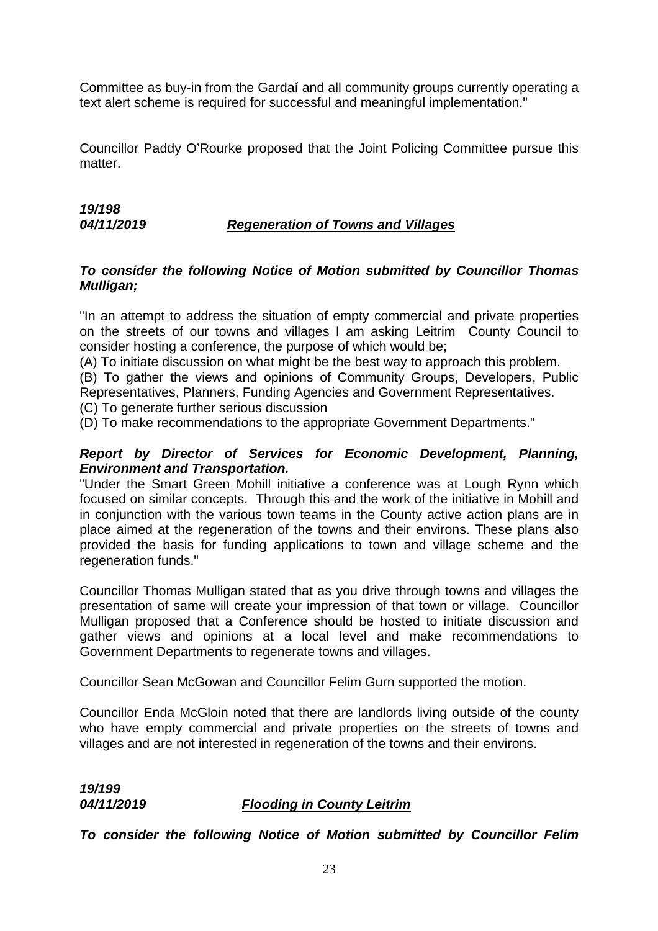Committee as buy-in from the Gardaí and all community groups currently operating a text alert scheme is required for successful and meaningful implementation."

Councillor Paddy O'Rourke proposed that the Joint Policing Committee pursue this matter.

# *19/198*

# *04/11/2019 Regeneration of Towns and Villages*

### *To consider the following Notice of Motion submitted by Councillor Thomas Mulligan;*

"In an attempt to address the situation of empty commercial and private properties on the streets of our towns and villages I am asking Leitrim County Council to consider hosting a conference, the purpose of which would be;

(A) To initiate discussion on what might be the best way to approach this problem.

(B) To gather the views and opinions of Community Groups, Developers, Public Representatives, Planners, Funding Agencies and Government Representatives.

(C) To generate further serious discussion

(D) To make recommendations to the appropriate Government Departments."

# *Report by Director of Services for Economic Development, Planning, Environment and Transportation.*

"Under the Smart Green Mohill initiative a conference was at Lough Rynn which focused on similar concepts. Through this and the work of the initiative in Mohill and in conjunction with the various town teams in the County active action plans are in place aimed at the regeneration of the towns and their environs. These plans also provided the basis for funding applications to town and village scheme and the regeneration funds."

Councillor Thomas Mulligan stated that as you drive through towns and villages the presentation of same will create your impression of that town or village. Councillor Mulligan proposed that a Conference should be hosted to initiate discussion and gather views and opinions at a local level and make recommendations to Government Departments to regenerate towns and villages.

Councillor Sean McGowan and Councillor Felim Gurn supported the motion.

Councillor Enda McGloin noted that there are landlords living outside of the county who have empty commercial and private properties on the streets of towns and villages and are not interested in regeneration of the towns and their environs.

*19/199* 

# *04/11/2019 Flooding in County Leitrim*

*To consider the following Notice of Motion submitted by Councillor Felim*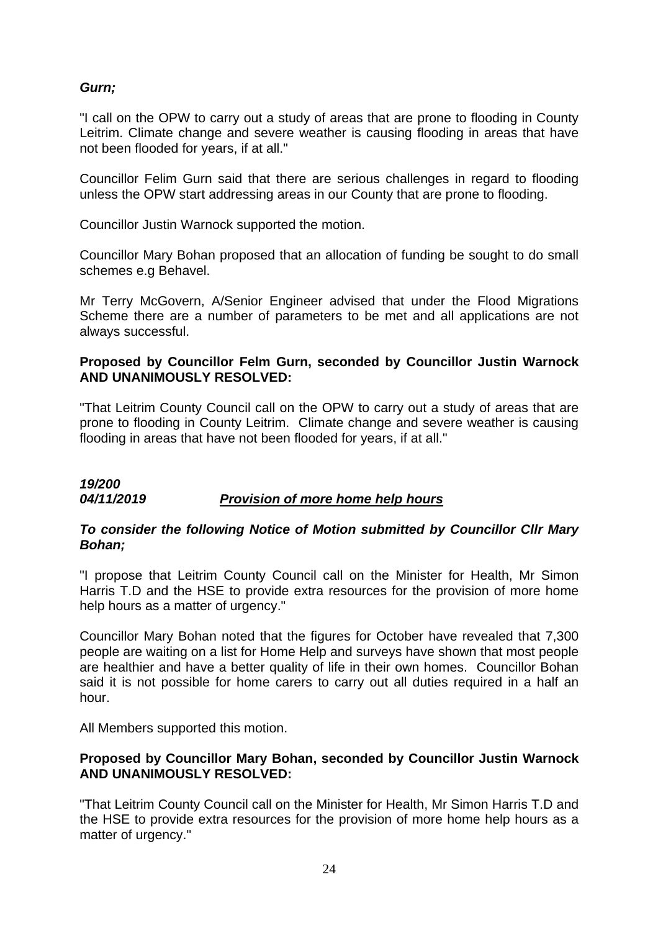# *Gurn;*

"I call on the OPW to carry out a study of areas that are prone to flooding in County Leitrim. Climate change and severe weather is causing flooding in areas that have not been flooded for years, if at all."

Councillor Felim Gurn said that there are serious challenges in regard to flooding unless the OPW start addressing areas in our County that are prone to flooding.

Councillor Justin Warnock supported the motion.

Councillor Mary Bohan proposed that an allocation of funding be sought to do small schemes e.g Behavel.

Mr Terry McGovern, A/Senior Engineer advised that under the Flood Migrations Scheme there are a number of parameters to be met and all applications are not always successful.

# **Proposed by Councillor Felm Gurn, seconded by Councillor Justin Warnock AND UNANIMOUSLY RESOLVED:**

"That Leitrim County Council call on the OPW to carry out a study of areas that are prone to flooding in County Leitrim. Climate change and severe weather is causing flooding in areas that have not been flooded for years, if at all."

# *19/200 04/11/2019 Provision of more home help hours*

# *To consider the following Notice of Motion submitted by Councillor Cllr Mary Bohan;*

"I propose that Leitrim County Council call on the Minister for Health, Mr Simon Harris T.D and the HSE to provide extra resources for the provision of more home help hours as a matter of urgency."

Councillor Mary Bohan noted that the figures for October have revealed that 7,300 people are waiting on a list for Home Help and surveys have shown that most people are healthier and have a better quality of life in their own homes. Councillor Bohan said it is not possible for home carers to carry out all duties required in a half an hour.

All Members supported this motion.

# **Proposed by Councillor Mary Bohan, seconded by Councillor Justin Warnock AND UNANIMOUSLY RESOLVED:**

"That Leitrim County Council call on the Minister for Health, Mr Simon Harris T.D and the HSE to provide extra resources for the provision of more home help hours as a matter of urgency."